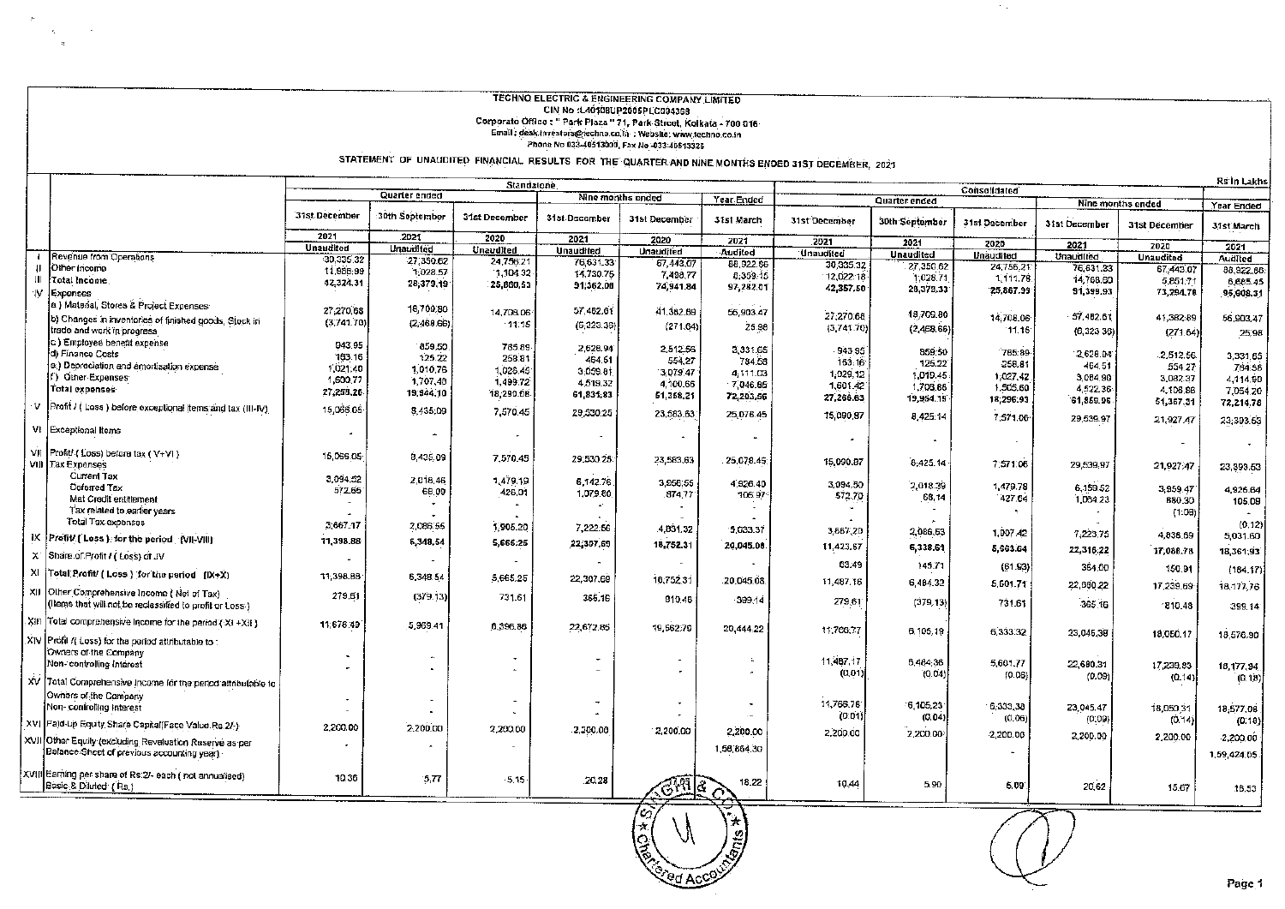## **TECHNO ELECTRIC & ENGINEERING COMPANY LIMITED CONTROL ELECTING OF CONTRESSING OVIRTANT LIBRITED**<br>Corporate Office : "Park Piaza " 71, Park Street, Kolkata - 700 916<br>Email : desk.investors@fechno.co.ia : Webslie: www.techno.co.in Phone No 033-40513000, Fax No -033-40513326

 $\sim$ 

STATEMENT OF UNAUDITED FINANCIAL RESULTS FOR THE QUARTER AND NINE MONTHS ENDED 31ST DECEMBER, 2021

|     |                                                                                                     |                       |                   | Standalone               |                      |                   |                       |                  |                      |               |               |                                    | <b>Rs in Lakhs</b> |
|-----|-----------------------------------------------------------------------------------------------------|-----------------------|-------------------|--------------------------|----------------------|-------------------|-----------------------|------------------|----------------------|---------------|---------------|------------------------------------|--------------------|
|     |                                                                                                     |                       | Quarter ended     |                          | Nine months ended    |                   | Year Ended            |                  | <b>Quarter ended</b> | Consolidated  |               |                                    |                    |
|     |                                                                                                     | 31st December         | 30th September    | 31st December            | 31st December        | 31st December     | 31st March            | 31st December    | 30th September       | 31st December | 31st December | Nine months ended<br>31st December | Year Ended         |
|     |                                                                                                     | 2021                  | 2021              | 2020                     | 2021                 | 2020              |                       |                  |                      |               |               |                                    | 31st March         |
|     |                                                                                                     | <b>Unaudited</b>      | <b>Unavilited</b> | Unaudited                | <b>Unaudited</b>     | <b>Unatidited</b> | 2021                  | 2021             | 2021                 | 2020          | 2021          | 2020                               | 2021               |
|     | Revenue from Operations                                                                             | 30.335.32             | 27,350.62         | 24,756.21                | 76,631.33            | 67,443,07         | Audited               | <b>Unaudited</b> | <b>Unaudited</b>     | Unaudited     | Unaudited     | <b>Unaudited</b>                   | Audited            |
|     | Other Income                                                                                        | 11,988,99             | 1.028.57          | 1,104.32                 | 14,730.75            | 7,498,77          | 88,922.86<br>8,359.15 | 30:335.32        | 27,350.62            | 24,756.21     | 76,631.33     | 67,443.07                          | 88,922.66          |
| Ш   | Total Income                                                                                        | 42,324.31             | 28,379,19         | 25,860,53                | 91,362,08            | 74,941.84         |                       | 12,022.18        | 1,028.71             | 1,111.76      | 14,768.60     | 5,851.71                           | 6,685.45           |
| W   | Expenses                                                                                            |                       |                   |                          |                      |                   | 97,282.01             | 42,357,50        | 28,379.33            | 25,867.99     | 91,399.93     | 73,294.78                          | 95,608.31          |
|     | a ) Material, Stores & Project Expenses                                                             | 27,270.68             | 18,709,80         |                          | 57,482.61            |                   |                       |                  |                      |               |               |                                    |                    |
|     | b) Changes in inventories of finished goods, Stock in                                               | (3,741,70)            |                   | 14,708.06                |                      | 41,382,89         | 56,903.47             | 27,270.68        | 18,709.80            | 14,708.06     | 57,482.61     | 41,382.89                          | 56,903,47          |
|     | trade and work in progress                                                                          |                       | (2,468.66)        | 11.15                    | (6, 323.36)          | (271.64)          | 25.98                 | (3,741.70)       | (2,468,66)           | 11.15         | (6, 323, 36)  | (271.64)                           | 25,98              |
|     | c.) Employee benefit expense                                                                        | 943.95                | 859,50            |                          |                      |                   |                       |                  |                      |               |               |                                    |                    |
|     | d) Finance Costs                                                                                    | 163.16                | 125.22            | 785.89<br>258.81         | 2,628.94             | 2,512.56          | 3,331.65              | 943.95           | 859.50               | 785.89        | 2,628.94      | 2,512.56                           | 3,331.65           |
|     | e.) Depreciation and amortisation expense.                                                          | 1,021,40              | 1,010.76          |                          | 464.51               | 554,27            | 784.58                | 163.16           | 125.22               | 258.81        | 464.51        | 554.27                             | 784.58             |
|     | f) Other Expenses                                                                                   | 1,600,77              | 1,707,48          | 1,026.45                 | 3,059.81             | 3,079.47          | 4,111.03              | 1,029,12         | 1.019.45             | 1,027.42      | 3,084.90      | 3,082.37                           | 4,114.90           |
|     | Total expenses:                                                                                     | 27,258.26             |                   | 1,499.72                 | 4,519.32             | 4,100.66          | 7,046.85              | 1,601.42         | 1,708.88             | 1,505.60      | 4,522,36      | 4,106,86                           | 7,054.20           |
|     |                                                                                                     |                       | 19,944,10         | 18,290.08                | 61,831,83            | 61,358.21         | 72,203.56             | 27,266.63        | 19,954.19            | 18,296.93     | 61,859.95     | 51,367.31                          | 72,214.78          |
| v   | Profit / ( Loss ) before exceptional items and tax (III-IV)                                         | 15,056.05             | 8,435.09          | 7,570.45                 | 29,530.25            | 23,583.63.        | 25,078.45             | 15,090.87        | 8,425:14             | 7:571.06      | 29,539.97     | 21,927.47                          | 23,393.53          |
|     | VI Exceptional Items                                                                                | $\tilde{\phantom{a}}$ |                   |                          |                      |                   |                       |                  |                      |               |               |                                    |                    |
|     | VII Profit/ (Loss) before tax (V+VI)<br>VIII Tax Expanses                                           | 15,066.05             | 8,435.09          | 7,570.45                 | 29,530.25            | 23,583,63         | 25,078.45             | 15,090.87        | 8,425.14             | 7:571.06      | 29,539,97     | 21,927.47                          | 23,393.53          |
|     | <b>Current Tax</b>                                                                                  | 3,094,52              | 2,018.46          | 1,479.19                 |                      |                   |                       |                  |                      |               |               |                                    |                    |
|     | Deferred Tax                                                                                        | 572.65                | 68.09             | 426.D1                   | 6,142.76<br>1,079.80 | 3,956.55          | 4,926.40              | 3,094.50         | 2,018.39             | 1,479.78      | 6,159.52      | 3,959.47                           | 4,926.64           |
|     | Mat Credit entitlement                                                                              |                       |                   |                          |                      | 874,77            | 106.97                | 572.70           | 68,14                | 427.64        | 1,064.23      | 880.30                             | 105.08             |
|     | Tax related to earlier years                                                                        |                       |                   |                          |                      |                   |                       |                  |                      |               |               | (1.08)                             |                    |
|     | Total Tax expenses                                                                                  | 3,667.17              | 2,086.55          | 1,905.20                 | 7,222.56             | 4,831,32          |                       |                  |                      |               |               |                                    | (0.12)             |
| iХ  | Profit (Loss) for the period (VII-VIII)                                                             | 11,398.88             |                   |                          |                      |                   | 5,033.37              | 3,667,20         | 2,066.53             | 1,907.42      | 7,223,75      | 4,838.69                           | 5,031.60           |
|     | X Share of Profit / (Loss) of JV                                                                    |                       | 6,348,54          | 5,665.25                 | 22,307.69            | 18,752.31         | 20,045.08             | 11,423,67        | 6,338.61             | 5,663.64      | 22,316.22     | 17,088.78                          | 18,361,93          |
|     |                                                                                                     |                       |                   | $\overline{\phantom{a}}$ |                      | $\mathbf{r}$      |                       | 63.49            | 145.71               | (61.93)       | 364.00        | 150.91                             | (184.17)           |
| XII | XI Total Profit/ ( Loss ) for the period (IX+X)                                                     | 11,398.88             | 5,348.54          | 5,665.25                 | 22,307.69            | 18,752.31         | 20,045.08             | 11,487.16        | 6,484.32             | 5,601.71      | 22,680.22     | 17,239.69                          | 18,177,76          |
|     | Other Comprehensive Income (Net of Tax)<br>(Items that will not be reclassified to profit or Loss.) | 279.61                | (379.13)          | 731.61                   | 365.16               | 810.46            | 399.14                | 279.61           | (379, 13)            | 731.61        | 365.16        | 810.48                             | 399.14             |
|     | XIII Total comprehensive income for the period (XI +XII)                                            | 11,678.49             | 5,969.41          | 6,396,86                 | 22,672.85            | 19,562.79         | 20,444.22             | 11,766,77        |                      |               |               |                                    |                    |
|     | XIV Profil /( Loss) for the period attributable to :                                                |                       |                   |                          |                      |                   |                       |                  | 6,105.19             | 6,333.32      | 23,045,38     | 18,050.17                          | 18,576.90          |
|     | Owners of the Company                                                                               |                       | Ă.                |                          |                      |                   |                       |                  |                      |               |               |                                    |                    |
|     | Non-controlling Interest                                                                            |                       | $\blacksquare$    | ÷.                       | -                    |                   |                       | 11,487.17        | 6,484.36             | 5,601.77      | 22,680.31     | 17,239.83                          | 18,177,94          |
|     | XV Total Comprehensive Income for the period attributable to                                        |                       |                   |                          |                      |                   |                       | (0, 01)          | (0.04)               | (0.06)        | (0.09)        | (0.14)                             | (0.18)             |
|     |                                                                                                     |                       |                   |                          |                      |                   |                       |                  |                      |               |               |                                    |                    |
|     | Owners of the Company                                                                               |                       |                   |                          |                      |                   | $\mathbf{r}$          | 11,766,78        | 6,105,23             |               |               |                                    |                    |
|     | Non- controlling Interest                                                                           |                       |                   |                          |                      |                   |                       | (0.01)           | (0.04)               | 6,333,38      | 23,045.47     | 18,050.31                          | 18,577.08          |
|     | Paid-up Equity Share Capital(Face Value Rs 2/-)                                                     | 2,200.00              | 2,200.00          | 2,200.00                 | 2,200.00             |                   |                       |                  |                      | (0,06)        | (0,09)        | (D.14)                             | (0.18)             |
|     | XVII Other Equity (excluding Revaluation Reserve as per                                             |                       |                   |                          |                      | 2,200.00          | 2,200.00              | 2,200.00         | 2,200.00             | 2,200.00      | 2,200.00      | 2,200.00                           | 2,200,00           |
|     | Balance Sheet of previous accounting year)                                                          |                       |                   |                          |                      |                   | 1,58,854.30           |                  |                      |               |               |                                    | 1,59,424.05        |
|     | [VIII Earning ner share of Rs 2/- each ( not annualised)<br>Basic & Diluted (Rs.)                   | 10.36                 | 5.77              | $-5.15$                  | 20.28                | ৻জ্যাতু≻          | 18.22                 | 10.44            | 5.90                 | 5.09          | 20,62         | 15.67                              | 16,53              |



 $\sigma_{\rm{max}}$